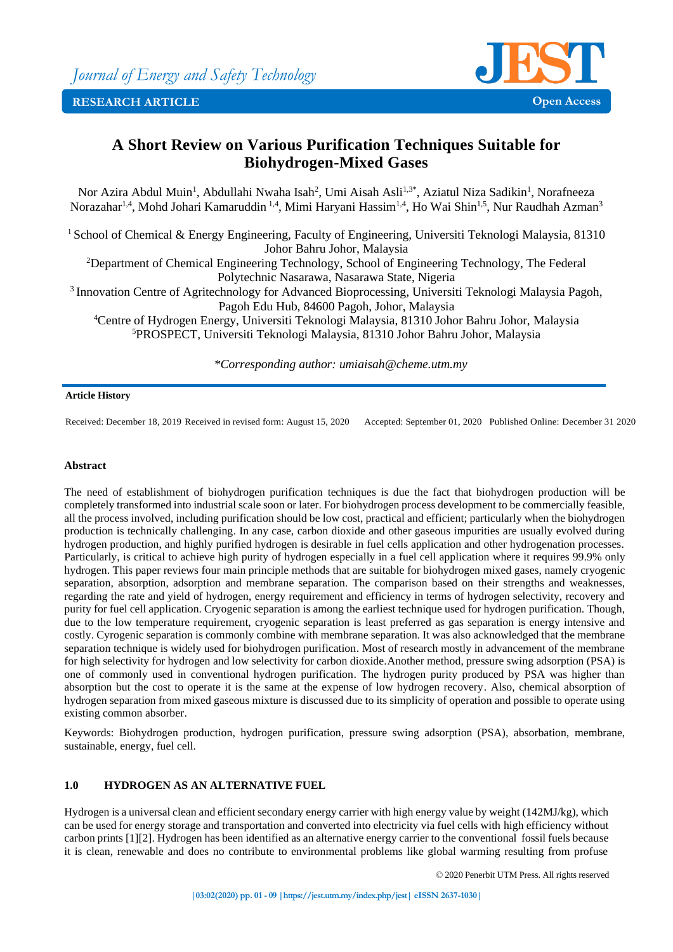

# **A Short Review on Various Purification Techniques Suitable for Biohydrogen-Mixed Gases**

Nor Azira Abdul Muin<sup>1</sup>, Abdullahi Nwaha Isah<sup>2</sup>, Umi Aisah Asli<sup>1,3\*</sup>, Aziatul Niza Sadikin<sup>1</sup>, Norafneeza Norazahar<sup>1,4</sup>, Mohd Johari Kamaruddin<sup>1,4</sup>, Mimi Haryani Hassim<sup>1,4</sup>, Ho Wai Shin<sup>1,5</sup>, Nur Raudhah Azman<sup>3</sup>

<sup>1</sup> School of Chemical & Energy Engineering, Faculty of Engineering, Universiti Teknologi Malaysia, 81310 Johor Bahru Johor, Malaysia

<sup>2</sup>Department of Chemical Engineering Technology, School of Engineering Technology, The Federal Polytechnic Nasarawa, Nasarawa State, Nigeria

<sup>3</sup> Innovation Centre of Agritechnology for Advanced Bioprocessing, Universiti Teknologi Malaysia Pagoh, Pagoh Edu Hub, 84600 Pagoh, Johor, Malaysia

<sup>4</sup>Centre of Hydrogen Energy, Universiti Teknologi Malaysia, 81310 Johor Bahru Johor, Malaysia <sup>5</sup>PROSPECT, Universiti Teknologi Malaysia, 81310 Johor Bahru Johor, Malaysia

*\*Corresponding author: umiaisah@cheme.utm.my*

#### **Article History**

Received: December 18, 2019 Received in revised form: August 15, 2020 Accepted: September 01, 2020 Published Online: December 31 2020

## **Abstract**

The need of establishment of biohydrogen purification techniques is due the fact that biohydrogen production will be completely transformed into industrial scale soon or later. For biohydrogen process development to be commercially feasible, all the process involved, including purification should be low cost, practical and efficient; particularly when the biohydrogen production is technically challenging. In any case, carbon dioxide and other gaseous impurities are usually evolved during hydrogen production, and highly purified hydrogen is desirable in fuel cells application and other hydrogenation processes. Particularly, is critical to achieve high purity of hydrogen especially in a fuel cell application where it requires 99.9% only hydrogen. This paper reviews four main principle methods that are suitable for biohydrogen mixed gases, namely cryogenic separation, absorption, adsorption and membrane separation. The comparison based on their strengths and weaknesses, regarding the rate and yield of hydrogen, energy requirement and efficiency in terms of hydrogen selectivity, recovery and purity for fuel cell application. Cryogenic separation is among the earliest technique used for hydrogen purification. Though, due to the low temperature requirement, cryogenic separation is least preferred as gas separation is energy intensive and costly. Cyrogenic separation is commonly combine with membrane separation. It was also acknowledged that the membrane separation technique is widely used for biohydrogen purification. Most of research mostly in advancement of the membrane for high selectivity for hydrogen and low selectivity for carbon dioxide.Another method, pressure swing adsorption (PSA) is one of commonly used in conventional hydrogen purification. The hydrogen purity produced by PSA was higher than absorption but the cost to operate it is the same at the expense of low hydrogen recovery. Also, chemical absorption of hydrogen separation from mixed gaseous mixture is discussed due to its simplicity of operation and possible to operate using existing common absorber.

Keywords: Biohydrogen production, hydrogen purification, pressure swing adsorption (PSA), absorbation, membrane, sustainable, energy, fuel cell.

# **1.0 HYDROGEN AS AN ALTERNATIVE FUEL**

Hydrogen is a universal clean and efficient secondary energy carrier with high energy value by weight (142MJ/kg), which can be used for energy storage and transportation and converted into electricity via fuel cells with high efficiency without carbon prints [1][2]. Hydrogen has been identified as an alternative energy carrier to the conventional fossil fuels because it is clean, renewable and does no contribute to environmental problems like global warming resulting from profuse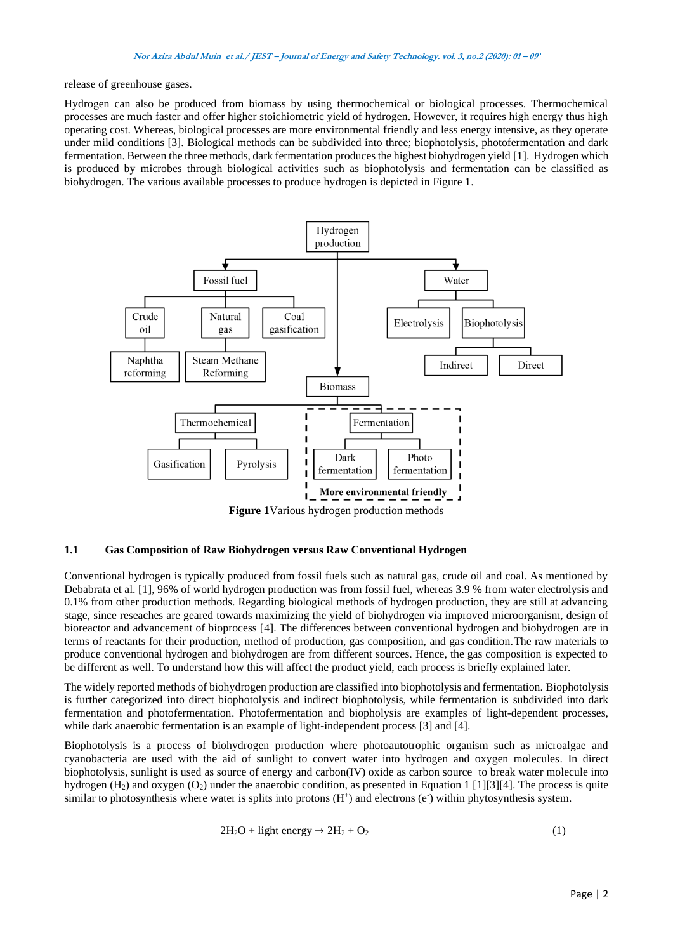release of greenhouse gases.

Hydrogen can also be produced from biomass by using thermochemical or biological processes. Thermochemical processes are much faster and offer higher stoichiometric yield of hydrogen. However, it requires high energy thus high operating cost. Whereas, biological processes are more environmental friendly and less energy intensive, as they operate under mild conditions [3]. Biological methods can be subdivided into three; biophotolysis, photofermentation and dark fermentation. Between the three methods, dark fermentation produces the highest biohydrogen yield [1]. Hydrogen which is produced by microbes through biological activities such as biophotolysis and fermentation can be classified as biohydrogen. The various available processes to produce hydrogen is depicted in Figure 1.



**Figure 1**Various hydrogen production methods

## **1.1 Gas Composition of Raw Biohydrogen versus Raw Conventional Hydrogen**

Conventional hydrogen is typically produced from fossil fuels such as natural gas, crude oil and coal. As mentioned by Debabrata et al. [1], 96% of world hydrogen production was from fossil fuel, whereas 3.9 % from water electrolysis and 0.1% from other production methods. Regarding biological methods of hydrogen production, they are still at advancing stage, since reseaches are geared towards maximizing the yield of biohydrogen via improved microorganism, design of bioreactor and advancement of bioprocess [4]. The differences between conventional hydrogen and biohydrogen are in terms of reactants for their production, method of production, gas composition, and gas condition.The raw materials to produce conventional hydrogen and biohydrogen are from different sources. Hence, the gas composition is expected to be different as well. To understand how this will affect the product yield, each process is briefly explained later.

The widely reported methods of biohydrogen production are classified into biophotolysis and fermentation. Biophotolysis is further categorized into direct biophotolysis and indirect biophotolysis, while fermentation is subdivided into dark fermentation and photofermentation. Photofermentation and biopholysis are examples of light-dependent processes, while dark anaerobic fermentation is an example of light-independent process [3] and [4].

Biophotolysis is a process of biohydrogen production where photoautotrophic organism such as microalgae and cyanobacteria are used with the aid of sunlight to convert water into hydrogen and oxygen molecules. In direct biophotolysis, sunlight is used as source of energy and carbon(IV) oxide as carbon source to break water molecule into hydrogen  $(H_2)$  and oxygen  $(O_2)$  under the anaerobic condition, as presented in Equation 1 [1][3][4]. The process is quite similar to photosynthesis where water is splits into protons  $(H<sup>+</sup>)$  and electrons (e<sup>-</sup>) within phytosynthesis system.

$$
2H_2O + light energy \rightarrow 2H_2 + O_2 \tag{1}
$$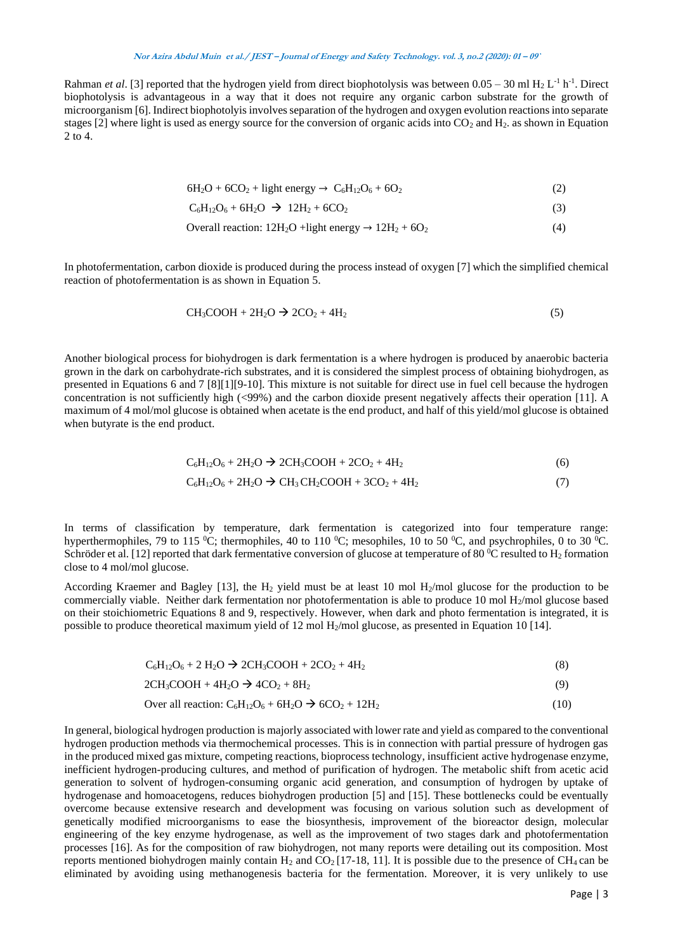Rahman *et al.* [3] reported that the hydrogen yield from direct biophotolysis was between  $0.05 - 30$  ml  $H_2 L^{-1} h^{-1}$ . Direct biophotolysis is advantageous in a way that it does not require any organic carbon substrate for the growth of microorganism [6]. Indirect biophotolyis involves separation of the hydrogen and oxygen evolution reactions into separate stages [2] where light is used as energy source for the conversion of organic acids into  $CO<sub>2</sub>$  and  $H<sub>2</sub>$ . as shown in Equation 2 to 4.

 $6H_2O + 6CO_2 +$  light energy  $\rightarrow C_6H_{12}O_6 + 6O_2$  (2)

 $C_6H_{12}O_6 + 6H_2O \rightarrow 12H_2 + 6CO_2$  (3)

Overall reaction: 
$$
12H_2O + light energy \rightarrow 12H_2 + 6O_2
$$
 (4)

In photofermentation, carbon dioxide is produced during the process instead of oxygen [7] which the simplified chemical reaction of photofermentation is as shown in Equation 5.

$$
CH3COOH + 2H2O \rightarrow 2CO2 + 4H2
$$
 (5)

Another biological process for biohydrogen is dark fermentation is a where hydrogen is produced by anaerobic bacteria grown in the dark on carbohydrate-rich substrates, and it is considered the simplest process of obtaining biohydrogen, as presented in Equations 6 and 7 [8][1][9-10]. This mixture is not suitable for direct use in fuel cell because the hydrogen concentration is not sufficiently high (<99%) and the carbon dioxide present negatively affects their operation [11]. A maximum of 4 mol/mol glucose is obtained when acetate is the end product, and half of this yield/mol glucose is obtained when butyrate is the end product.

$$
C_6H_{12}O_6 + 2H_2O \to 2CH_3COOH + 2CO_2 + 4H_2
$$
 (6)

$$
C_6H_{12}O_6 + 2H_2O \rightarrow CH_3CH_2COOH + 3CO_2 + 4H_2
$$
\n<sup>(7)</sup>

In terms of classification by temperature, dark fermentation is categorized into four temperature range: hyperthermophiles, 79 to 115  $^{\circ}$ C; thermophiles, 40 to 110  $^{\circ}$ C; mesophiles, 10 to 50  $^{\circ}$ C, and psychrophiles, 0 to 30  $^{\circ}$ C. Schröder et al. [12] reported that dark fermentative conversion of glucose at temperature of 80  $^{\circ}$ C resulted to H<sub>2</sub> formation close to 4 mol/mol glucose.

According Kraemer and Bagley [13], the H<sub>2</sub> yield must be at least 10 mol H<sub>2</sub>/mol glucose for the production to be commercially viable. Neither dark fermentation nor photofermentation is able to produce 10 mol  $H_2$ /mol glucose based on their stoichiometric Equations 8 and 9, respectively. However, when dark and photo fermentation is integrated, it is possible to produce theoretical maximum yield of 12 mol  $H_2$ /mol glucose, as presented in Equation 10 [14].

| $C_6H_{12}O_6 + 2 H_2O \rightarrow 2CH_3COOH + 2CO_2 + 4H_2$ |  |
|--------------------------------------------------------------|--|
|--------------------------------------------------------------|--|

 $2CH_3COOH + 4H_2O \rightarrow 4CO_2 + 8H_2$  (9)

Over all reaction: 
$$
C_6H_{12}O_6 + 6H_2O \rightarrow 6CO_2 + 12H_2
$$
 (10)

In general, biological hydrogen production is majorly associated with lower rate and yield as compared to the conventional hydrogen production methods via thermochemical processes. This is in connection with partial pressure of hydrogen gas in the produced mixed gas mixture, competing reactions, bioprocess technology, insufficient active hydrogenase enzyme, inefficient hydrogen-producing cultures, and method of purification of hydrogen. The metabolic shift from acetic acid generation to solvent of hydrogen-consuming organic acid generation, and consumption of hydrogen by uptake of hydrogenase and homoacetogens, reduces biohydrogen production [5] and [15]. These bottlenecks could be eventually overcome because extensive research and development was focusing on various solution such as development of genetically modified microorganisms to ease the biosynthesis, improvement of the bioreactor design, molecular engineering of the key enzyme hydrogenase, as well as the improvement of two stages dark and photofermentation processes [16]. As for the composition of raw biohydrogen, not many reports were detailing out its composition. Most reports mentioned biohydrogen mainly contain H<sub>2</sub> and CO<sub>2</sub> [17-18, 11]. It is possible due to the presence of CH<sub>4</sub> can be eliminated by avoiding using methanogenesis bacteria for the fermentation. Moreover, it is very unlikely to use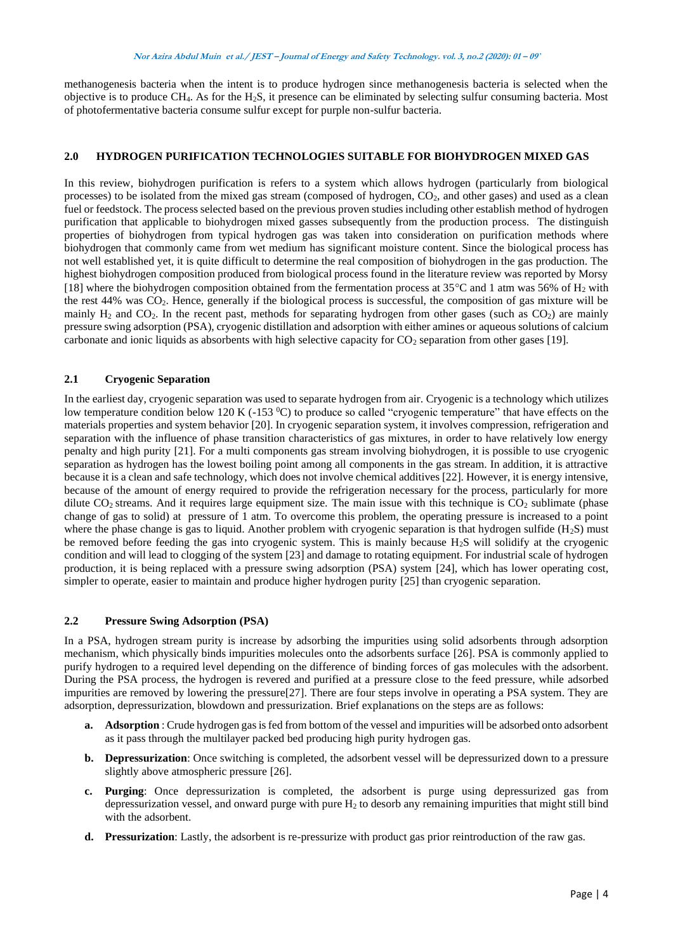methanogenesis bacteria when the intent is to produce hydrogen since methanogenesis bacteria is selected when the objective is to produce  $CH_4$ . As for the H<sub>2</sub>S, it presence can be eliminated by selecting sulfur consuming bacteria. Most of photofermentative bacteria consume sulfur except for purple non-sulfur bacteria.

## **2.0 HYDROGEN PURIFICATION TECHNOLOGIES SUITABLE FOR BIOHYDROGEN MIXED GAS**

In this review, biohydrogen purification is refers to a system which allows hydrogen (particularly from biological processes) to be isolated from the mixed gas stream (composed of hydrogen,  $CO<sub>2</sub>$ , and other gases) and used as a clean fuel or feedstock. The process selected based on the previous proven studies including other establish method of hydrogen purification that applicable to biohydrogen mixed gasses subsequently from the production process. The distinguish properties of biohydrogen from typical hydrogen gas was taken into consideration on purification methods where biohydrogen that commonly came from wet medium has significant moisture content. Since the biological process has not well established yet, it is quite difficult to determine the real composition of biohydrogen in the gas production. The highest biohydrogen composition produced from biological process found in the literature review was reported by Morsy [18] where the biohydrogen composition obtained from the fermentation process at  $35^{\circ}$ C and 1 atm was 56% of H<sub>2</sub> with the rest 44% was CO2. Hence, generally if the biological process is successful, the composition of gas mixture will be mainly  $H_2$  and  $CO_2$ . In the recent past, methods for separating hydrogen from other gases (such as  $CO_2$ ) are mainly pressure swing adsorption (PSA), cryogenic distillation and adsorption with either amines or aqueous solutions of calcium carbonate and ionic liquids as absorbents with high selective capacity for CO<sub>2</sub> separation from other gases [19].

# **2.1 Cryogenic Separation**

In the earliest day, cryogenic separation was used to separate hydrogen from air. Cryogenic is a technology which utilizes low temperature condition below 120 K (-153  $^{\circ}$ C) to produce so called "cryogenic temperature" that have effects on the materials properties and system behavior [20]. In cryogenic separation system, it involves compression, refrigeration and separation with the influence of phase transition characteristics of gas mixtures, in order to have relatively low energy penalty and high purity [21]. For a multi components gas stream involving biohydrogen, it is possible to use cryogenic separation as hydrogen has the lowest boiling point among all components in the gas stream. In addition, it is attractive because it is a clean and safe technology, which does not involve chemical additives [22]. However, it is energy intensive, because of the amount of energy required to provide the refrigeration necessary for the process, particularly for more dilute  $CO<sub>2</sub>$  streams. And it requires large equipment size. The main issue with this technique is  $CO<sub>2</sub>$  sublimate (phase change of gas to solid) at pressure of 1 atm. To overcome this problem, the operating pressure is increased to a point where the phase change is gas to liquid. Another problem with cryogenic separation is that hydrogen sulfide  $(H_2S)$  must be removed before feeding the gas into cryogenic system. This is mainly because H2S will solidify at the cryogenic condition and will lead to clogging of the system [23] and damage to rotating equipment. For industrial scale of hydrogen production, it is being replaced with a pressure swing adsorption (PSA) system [24], which has lower operating cost, simpler to operate, easier to maintain and produce higher hydrogen purity [25] than cryogenic separation.

## **2.2 Pressure Swing Adsorption (PSA)**

In a PSA, hydrogen stream purity is increase by adsorbing the impurities using solid adsorbents through adsorption mechanism, which physically binds impurities molecules onto the adsorbents surface [26]. PSA is commonly applied to purify hydrogen to a required level depending on the difference of binding forces of gas molecules with the adsorbent. During the PSA process, the hydrogen is revered and purified at a pressure close to the feed pressure, while adsorbed impurities are removed by lowering the pressure[27]. There are four steps involve in operating a PSA system. They are adsorption, depressurization, blowdown and pressurization. Brief explanations on the steps are as follows:

- **a. Adsorption** : Crude hydrogen gas is fed from bottom of the vessel and impurities will be adsorbed onto adsorbent as it pass through the multilayer packed bed producing high purity hydrogen gas.
- **b. Depressurization**: Once switching is completed, the adsorbent vessel will be depressurized down to a pressure slightly above atmospheric pressure [26].
- **c. Purging**: Once depressurization is completed, the adsorbent is purge using depressurized gas from depressurization vessel, and onward purge with pure  $H_2$  to desorb any remaining impurities that might still bind with the adsorbent.
- **d. Pressurization**: Lastly, the adsorbent is re-pressurize with product gas prior reintroduction of the raw gas.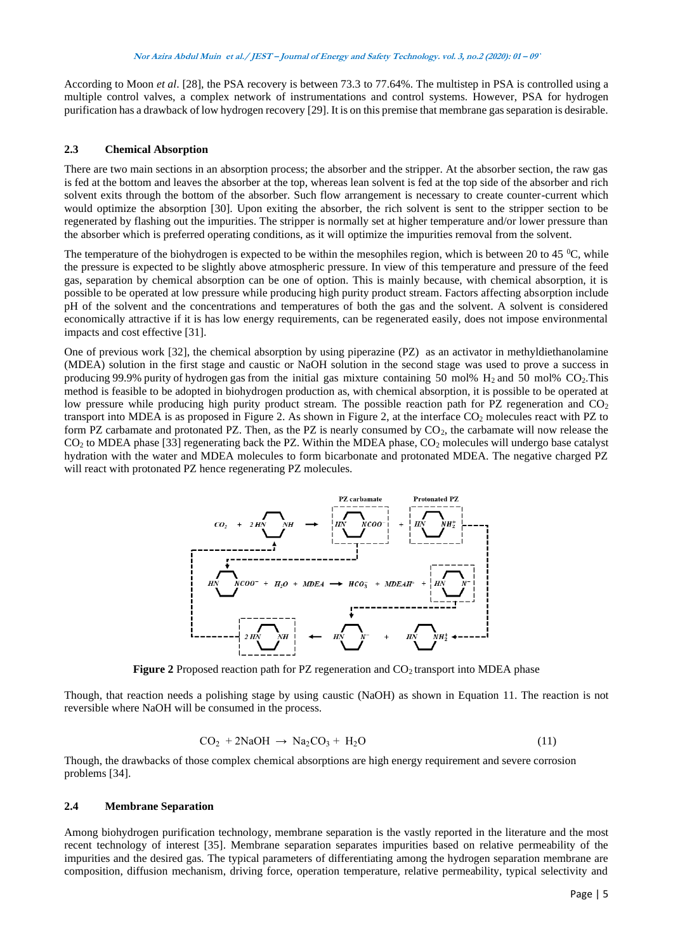According to Moon *et al*. [28], the PSA recovery is between 73.3 to 77.64%. The multistep in PSA is controlled using a multiple control valves, a complex network of instrumentations and control systems. However, PSA for hydrogen purification has a drawback of low hydrogen recovery [29]. It is on this premise that membrane gas separation is desirable.

## **2.3 Chemical Absorption**

There are two main sections in an absorption process; the absorber and the stripper. At the absorber section, the raw gas is fed at the bottom and leaves the absorber at the top, whereas lean solvent is fed at the top side of the absorber and rich solvent exits through the bottom of the absorber. Such flow arrangement is necessary to create counter-current which would optimize the absorption [30]. Upon exiting the absorber, the rich solvent is sent to the stripper section to be regenerated by flashing out the impurities. The stripper is normally set at higher temperature and/or lower pressure than the absorber which is preferred operating conditions, as it will optimize the impurities removal from the solvent.

The temperature of the biohydrogen is expected to be within the mesophiles region, which is between 20 to 45  $^{\circ}$ C, while the pressure is expected to be slightly above atmospheric pressure. In view of this temperature and pressure of the feed gas, separation by chemical absorption can be one of option. This is mainly because, with chemical absorption, it is possible to be operated at low pressure while producing high purity product stream. Factors affecting absorption include pH of the solvent and the concentrations and temperatures of both the gas and the solvent. A solvent is considered economically attractive if it is has low energy requirements, can be regenerated easily, does not impose environmental impacts and cost effective [31].

One of previous work [32], the chemical absorption by using piperazine (PZ) as an activator in methyldiethanolamine (MDEA) solution in the first stage and caustic or NaOH solution in the second stage was used to prove a success in producing 99.9% purity of hydrogen gas from the initial gas mixture containing 50 mol%  $H_2$  and 50 mol% CO<sub>2</sub>. This method is feasible to be adopted in biohydrogen production as, with chemical absorption, it is possible to be operated at low pressure while producing high purity product stream. The possible reaction path for PZ regeneration and  $CO<sub>2</sub>$ transport into MDEA is as proposed in Figure 2. As shown in Figure 2, at the interface CO<sup>2</sup> molecules react with PZ to form PZ carbamate and protonated PZ. Then, as the PZ is nearly consumed by  $CO<sub>2</sub>$ , the carbamate will now release the  $CO<sub>2</sub>$  to MDEA phase [33] regenerating back the PZ. Within the MDEA phase,  $CO<sub>2</sub>$  molecules will undergo base catalyst hydration with the water and MDEA molecules to form bicarbonate and protonated MDEA. The negative charged PZ will react with protonated PZ hence regenerating PZ molecules.



**Figure 2** Proposed reaction path for PZ regeneration and CO<sub>2</sub> transport into MDEA phase

Though, that reaction needs a polishing stage by using caustic (NaOH) as shown in Equation 11. The reaction is not reversible where NaOH will be consumed in the process.

$$
CO2 + 2NaOH \rightarrow Na2CO3 + H2O
$$
\n(11)

Though, the drawbacks of those complex chemical absorptions are high energy requirement and severe corrosion problems [34].

#### **2.4 Membrane Separation**

Among biohydrogen purification technology, membrane separation is the vastly reported in the literature and the most recent technology of interest [35]. Membrane separation separates impurities based on relative permeability of the impurities and the desired gas. The typical parameters of differentiating among the hydrogen separation membrane are composition, diffusion mechanism, driving force, operation temperature, relative permeability, typical selectivity and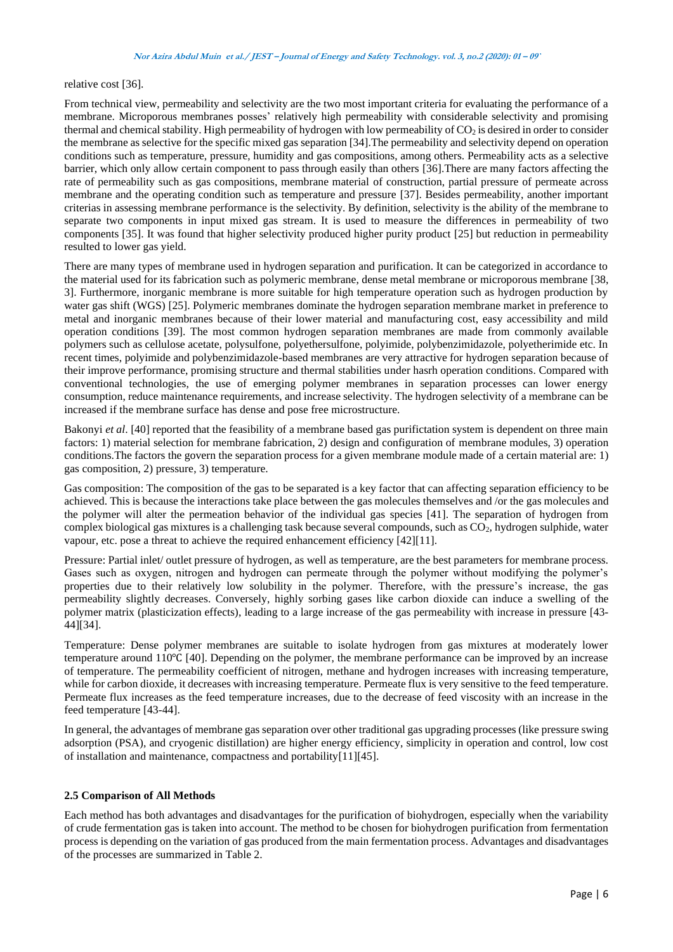relative cost [36].

From technical view, permeability and selectivity are the two most important criteria for evaluating the performance of a membrane. Microporous membranes posses' relatively high permeability with considerable selectivity and promising thermal and chemical stability. High permeability of hydrogen with low permeability of  $CO<sub>2</sub>$  is desired in order to consider the membrane as selective for the specific mixed gas separation [34].The permeability and selectivity depend on operation conditions such as temperature, pressure, humidity and gas compositions, among others. Permeability acts as a selective barrier, which only allow certain component to pass through easily than others [36].There are many factors affecting the rate of permeability such as gas compositions, membrane material of construction, partial pressure of permeate across membrane and the operating condition such as temperature and pressure [37]. Besides permeability, another important criterias in assessing membrane performance is the selectivity. By definition, selectivity is the ability of the membrane to separate two components in input mixed gas stream. It is used to measure the differences in permeability of two components [35]. It was found that higher selectivity produced higher purity product [25] but reduction in permeability resulted to lower gas yield.

There are many types of membrane used in hydrogen separation and purification. It can be categorized in accordance to the material used for its fabrication such as polymeric membrane, dense metal membrane or microporous membrane [38, 3]. Furthermore, inorganic membrane is more suitable for high temperature operation such as hydrogen production by water gas shift (WGS) [25]. Polymeric membranes dominate the hydrogen separation membrane market in preference to metal and inorganic membranes because of their lower material and manufacturing cost, easy accessibility and mild operation conditions [39]. The most common hydrogen separation membranes are made from commonly available polymers such as cellulose acetate, polysulfone, polyethersulfone, polyimide, polybenzimidazole, polyetherimide etc. In recent times, polyimide and polybenzimidazole-based membranes are very attractive for hydrogen separation because of their improve performance, promising structure and thermal stabilities under hasrh operation conditions. Compared with conventional technologies, the use of emerging polymer membranes in separation processes can lower energy consumption, reduce maintenance requirements, and increase selectivity. The hydrogen selectivity of a membrane can be increased if the membrane surface has dense and pose free microstructure.

Bakonyi *et al*. [40] reported that the feasibility of a membrane based gas purifictation system is dependent on three main factors: 1) material selection for membrane fabrication, 2) design and configuration of membrane modules, 3) operation conditions.The factors the govern the separation process for a given membrane module made of a certain material are: 1) gas composition, 2) pressure, 3) temperature.

Gas composition: The composition of the gas to be separated is a key factor that can affecting separation efficiency to be achieved. This is because the interactions take place between the gas molecules themselves and /or the gas molecules and the polymer will alter the permeation behavior of the individual gas species [41]. The separation of hydrogen from complex biological gas mixtures is a challenging task because several compounds, such as  $CO<sub>2</sub>$ , hydrogen sulphide, water vapour, etc. pose a threat to achieve the required enhancement efficiency [42][11].

Pressure: Partial inlet/ outlet pressure of hydrogen, as well as temperature, are the best parameters for membrane process. Gases such as oxygen, nitrogen and hydrogen can permeate through the polymer without modifying the polymer's properties due to their relatively low solubility in the polymer. Therefore, with the pressure's increase, the gas permeability slightly decreases. Conversely, highly sorbing gases like carbon dioxide can induce a swelling of the polymer matrix (plasticization effects), leading to a large increase of the gas permeability with increase in pressure [43- 44][34].

Temperature: Dense polymer membranes are suitable to isolate hydrogen from gas mixtures at moderately lower temperature around 110℃ [40]. Depending on the polymer, the membrane performance can be improved by an increase of temperature. The permeability coefficient of nitrogen, methane and hydrogen increases with increasing temperature, while for carbon dioxide, it decreases with increasing temperature. Permeate flux is very sensitive to the feed temperature. Permeate flux increases as the feed temperature increases, due to the decrease of feed viscosity with an increase in the feed temperature [43-44].

In general, the advantages of membrane gas separation over other traditional gas upgrading processes (like pressure swing adsorption (PSA), and cryogenic distillation) are higher energy efficiency, simplicity in operation and control, low cost of installation and maintenance, compactness and portability[11][45].

## **2.5 Comparison of All Methods**

Each method has both advantages and disadvantages for the purification of biohydrogen, especially when the variability of crude fermentation gas is taken into account. The method to be chosen for biohydrogen purification from fermentation process is depending on the variation of gas produced from the main fermentation process. Advantages and disadvantages of the processes are summarized in Table 2.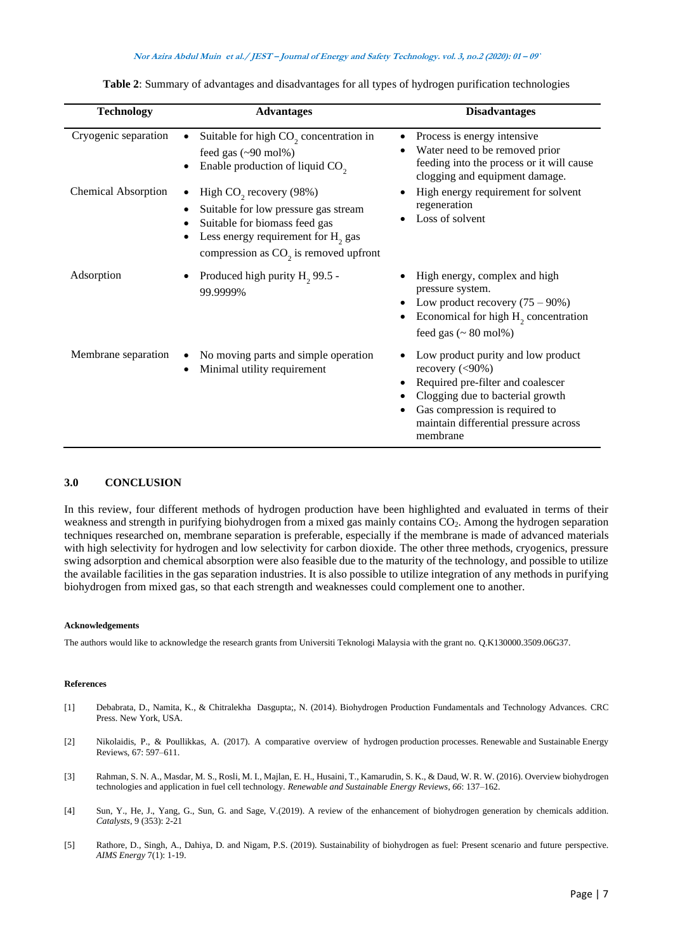| <b>Technology</b>          | <b>Advantages</b>                                                                                                                                                                                         | <b>Disadvantages</b>                                                                                                                                                                                                      |
|----------------------------|-----------------------------------------------------------------------------------------------------------------------------------------------------------------------------------------------------------|---------------------------------------------------------------------------------------------------------------------------------------------------------------------------------------------------------------------------|
| Cryogenic separation       | Suitable for high $CO2$ concentration in<br>feed gas $(\sim 90 \text{ mol\%})$<br>Enable production of liquid CO <sub>2</sub>                                                                             | Process is energy intensive<br>Water need to be removed prior<br>feeding into the process or it will cause<br>clogging and equipment damage.                                                                              |
| <b>Chemical Absorption</b> | High CO <sub>2</sub> recovery (98%)<br>Suitable for low pressure gas stream<br>Suitable for biomass feed gas<br>Less energy requirement for H <sub>2</sub> gas<br>compression as $CO2$ is removed upfront | High energy requirement for solvent<br>regeneration<br>Loss of solvent                                                                                                                                                    |
| Adsorption                 | Produced high purity H <sub>2</sub> 99.5 -<br>99.9999%                                                                                                                                                    | High energy, complex and high<br>pressure system.<br>Low product recovery $(75 - 90\%)$<br>Economical for high $H_2$ concentration<br>feed gas $($ $\sim$ 80 mol%)                                                        |
| Membrane separation        | No moving parts and simple operation<br>Minimal utility requirement                                                                                                                                       | Low product purity and low product<br>recovery $(<,90\%)$<br>Required pre-filter and coalescer<br>Clogging due to bacterial growth<br>Gas compression is required to<br>maintain differential pressure across<br>membrane |

**Table 2**: Summary of advantages and disadvantages for all types of hydrogen purification technologies

## **3.0 CONCLUSION**

In this review, four different methods of hydrogen production have been highlighted and evaluated in terms of their weakness and strength in purifying biohydrogen from a mixed gas mainly contains CO<sub>2</sub>. Among the hydrogen separation techniques researched on, membrane separation is preferable, especially if the membrane is made of advanced materials with high selectivity for hydrogen and low selectivity for carbon dioxide. The other three methods, cryogenics, pressure swing adsorption and chemical absorption were also feasible due to the maturity of the technology, and possible to utilize the available facilities in the gas separation industries. It is also possible to utilize integration of any methods in purifying biohydrogen from mixed gas, so that each strength and weaknesses could complement one to another.

#### **Acknowledgements**

The authors would like to acknowledge the research grants from Universiti Teknologi Malaysia with the grant no. Q.K130000.3509.06G37.

#### **References**

- [1] Debabrata, D., Namita, K., & Chitralekha Dasgupta;, N. (2014). Biohydrogen Production Fundamentals and Technology Advances. CRC Press. New York, USA.
- [2] Nikolaidis, P., & Poullikkas, A. (2017). A comparative overview of hydrogen production processes. Renewable and Sustainable Energy Reviews, 67: 597–611.
- [3] Rahman, S. N. A., Masdar, M. S., Rosli, M. I., Majlan, E. H., Husaini, T., Kamarudin, S. K., & Daud, W. R. W. (2016). Overview biohydrogen technologies and application in fuel cell technology. *Renewable and Sustainable Energy Reviews*, *66*: 137–162.
- [4] Sun, Y., He, J., Yang, G., Sun, G. and Sage, V.(2019). A review of the enhancement of biohydrogen generation by chemicals addition. *Catalysts*, 9 (353): 2-21
- [5] Rathore, D., Singh, A., Dahiya, D. and Nigam, P.S. (2019). Sustainability of biohydrogen as fuel: Present scenario and future perspective. *AIMS Energy* 7(1): 1-19.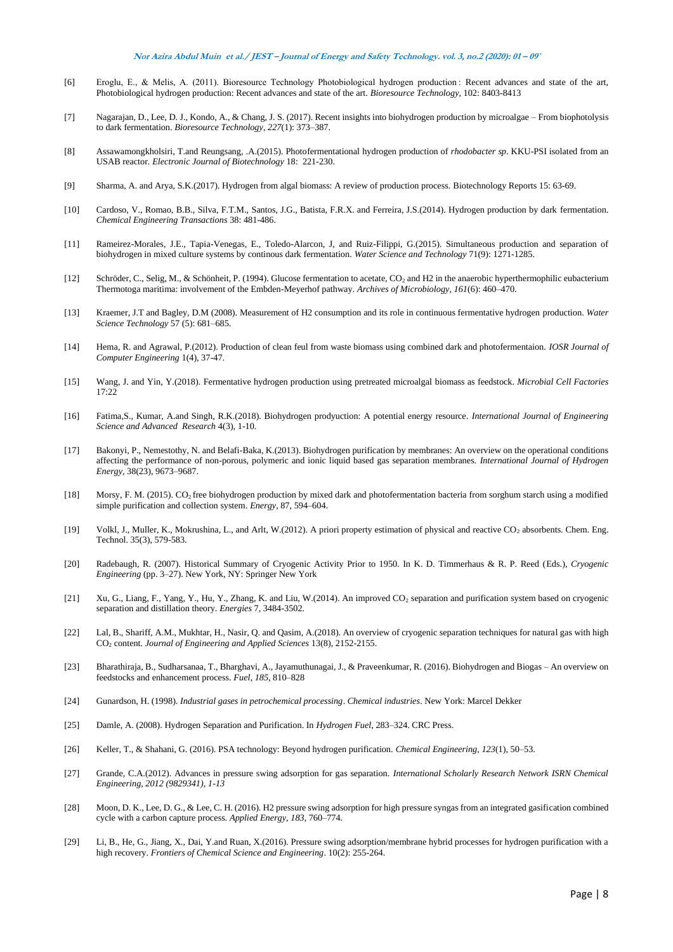- [6] Eroglu, E., & Melis, A. (2011). Bioresource Technology Photobiological hydrogen production : Recent advances and state of the art, Photobiological hydrogen production: Recent advances and state of the art. *Bioresource Technology*, 102: 8403-8413
- [7] Nagarajan, D., Lee, D. J., Kondo, A., & Chang, J. S. (2017). Recent insights into biohydrogen production by microalgae From biophotolysis to dark fermentation. *Bioresource Technology*, *227*(1): 373–387.
- [8] Assawamongkholsiri, T.and Reungsang, .A.(2015). Photofermentational hydrogen production of *rhodobacter sp*. KKU-PSI isolated from an USAB reactor*. Electronic Journal of Biotechnology* 18: 221-230.
- [9] Sharma, A. and Arya, S.K.(2017). Hydrogen from algal biomass: A review of production process. Biotechnology Reports 15: 63-69.
- [10] Cardoso, V., Romao, B.B., Silva, F.T.M., Santos, J.G., Batista, F.R.X. and Ferreira, J.S.(2014). Hydrogen production by dark fermentation. *Chemical Engineering Transactions* 38: 481-486.
- [11] Rameirez-Morales, J.E., Tapia-Venegas, E., Toledo-Alarcon, J, and Ruiz-Filippi, G.(2015). Simultaneous production and separation of biohydrogen in mixed culture systems by continous dark fermentation. *Water Science and Technology* 71(9): 1271-1285.
- [12] Schröder, C., Selig, M., & Schönheit, P. (1994). Glucose fermentation to acetate, CO<sub>2</sub> and H2 in the anaerobic hyperthermophilic eubacterium Thermotoga maritima: involvement of the Embden-Meyerhof pathway. *Archives of Microbiology*, *161*(6): 460–470.
- [13] Kraemer, J.T and Bagley, D.M (2008). Measurement of H2 consumption and its role in continuous fermentative hydrogen production. *Water Science Technology* 57 (5): 681–685.
- [14] Hema, R. and Agrawal, P.(2012). Production of clean feul from waste biomass using combined dark and photofermentaion. *IOSR Journal of Computer Engineering* 1(4), 37-47.
- [15] Wang, J. and Yin, Y.(2018). Fermentative hydrogen production using pretreated microalgal biomass as feedstock. *Microbial Cell Factories* 17:22
- [16] Fatima,S., Kumar, A.and Singh, R.K.(2018). Biohydrogen prodyuction: A potential energy resource. *International Journal of Engineering Science and Advanced Research* 4(3), 1-10.
- [17] Bakonyi, P., Nemestothy, N. and Belafi-Baka, K.(2013). Biohydrogen purification by membranes: An overview on the operational conditions affecting the performance of non-porous, polymeric and ionic liquid based gas separation membranes. *International Journal of Hydrogen Energy,* 38(23), 9673–9687.
- [18] Morsy, F. M. (2015). CO2 free biohydrogen production by mixed dark and photofermentation bacteria from sorghum starch using a modified simple purification and collection system. *Energy*, 87, 594–604.
- [19] Volkl, J., Muller, K., Mokrushina, L., and Arlt, W.(2012). A priori property estimation of physical and reactive CO<sub>2</sub> absorbents. Chem. Eng. Technol. 35(3), 579-583.
- [20] Radebaugh, R. (2007). Historical Summary of Cryogenic Activity Prior to 1950. In K. D. Timmerhaus & R. P. Reed (Eds.), *Cryogenic Engineering* (pp. 3–27). New York, NY: Springer New York
- [21] Xu, G., Liang, F., Yang, Y., Hu, Y., Zhang, K. and Liu, W.(2014). An improved CO<sub>2</sub> separation and purification system based on cryogenic separation and distillation theory. *Energies* 7, 3484-3502.
- [22] Lal, B., Shariff, A.M., Mukhtar, H., Nasir, Q. and Qasim, A.(2018). An overview of cryogenic separation techniques for natural gas with high CO<sup>2</sup> content. *Journal of Engineering and Applied Sciences* 13(8), 2152-2155.
- [23] Bharathiraja, B., Sudharsanaa, T., Bharghavi, A., Jayamuthunagai, J., & Praveenkumar, R. (2016). Biohydrogen and Biogas An overview on feedstocks and enhancement process. *Fuel*, *185*, 810–828
- [24] Gunardson, H. (1998). *Industrial gases in petrochemical processing*. *Chemical industries*. New York: Marcel Dekker
- [25] Damle, A. (2008). Hydrogen Separation and Purification. In *Hydrogen Fuel*, 283–324. CRC Press.
- [26] Keller, T., & Shahani, G. (2016). PSA technology: Beyond hydrogen purification. *Chemical Engineering*, *123*(1), 50–53.
- [27] Grande, C.A.(2012). Advances in pressure swing adsorption for gas separation. *International Scholarly Research Network ISRN Chemical Engineering, 2012 (9829341), 1-13*
- [28] Moon, D. K., Lee, D. G., & Lee, C. H. (2016). H2 pressure swing adsorption for high pressure syngas from an integrated gasification combined cycle with a carbon capture process. *Applied Energy*, *183*, 760–774.
- [29] Li, B., He, G., Jiang, X., Dai, Y.and Ruan, X.(2016). Pressure swing adsorption/membrane hybrid processes for hydrogen purification with a high recovery. *Frontiers of Chemical Science and Engineering*. 10(2): 255-264.